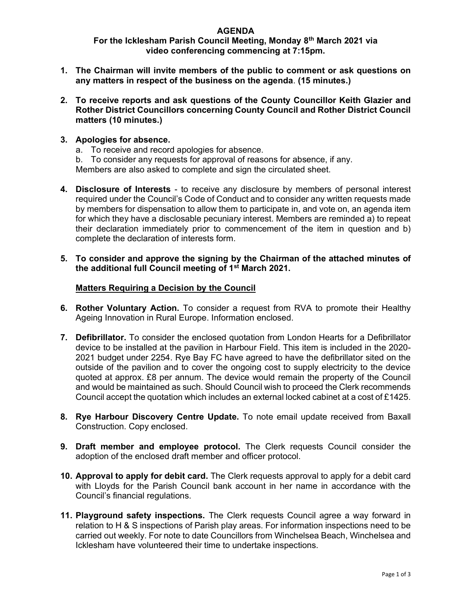## AGENDA

# For the Icklesham Parish Council Meeting, Monday 8th March 2021 via video conferencing commencing at 7:15pm.

- 1. The Chairman will invite members of the public to comment or ask questions on any matters in respect of the business on the agenda. (15 minutes.)
- 2. To receive reports and ask questions of the County Councillor Keith Glazier and Rother District Councillors concerning County Council and Rother District Council matters (10 minutes.)
- 3. Apologies for absence.
	- a. To receive and record apologies for absence.
	- b. To consider any requests for approval of reasons for absence, if any.

Members are also asked to complete and sign the circulated sheet.

- 4. Disclosure of Interests to receive any disclosure by members of personal interest required under the Council's Code of Conduct and to consider any written requests made by members for dispensation to allow them to participate in, and vote on, an agenda item for which they have a disclosable pecuniary interest. Members are reminded a) to repeat their declaration immediately prior to commencement of the item in question and b) complete the declaration of interests form.
- 5. To consider and approve the signing by the Chairman of the attached minutes of the additional full Council meeting of 1st March 2021.

### Matters Requiring a Decision by the Council

- 6. Rother Voluntary Action. To consider a request from RVA to promote their Healthy Ageing Innovation in Rural Europe. Information enclosed.
- 7. Defibrillator. To consider the enclosed quotation from London Hearts for a Defibrillator device to be installed at the pavilion in Harbour Field. This item is included in the 2020- 2021 budget under 2254. Rye Bay FC have agreed to have the defibrillator sited on the outside of the pavilion and to cover the ongoing cost to supply electricity to the device quoted at approx. £8 per annum. The device would remain the property of the Council and would be maintained as such. Should Council wish to proceed the Clerk recommends Council accept the quotation which includes an external locked cabinet at a cost of £1425.
- 8. Rye Harbour Discovery Centre Update. To note email update received from Baxall Construction. Copy enclosed.
- 9. Draft member and employee protocol. The Clerk requests Council consider the adoption of the enclosed draft member and officer protocol.
- 10. Approval to apply for debit card. The Clerk requests approval to apply for a debit card with Lloyds for the Parish Council bank account in her name in accordance with the Council's financial regulations.
- 11. Playground safety inspections. The Clerk requests Council agree a way forward in relation to H & S inspections of Parish play areas. For information inspections need to be carried out weekly. For note to date Councillors from Winchelsea Beach, Winchelsea and Icklesham have volunteered their time to undertake inspections.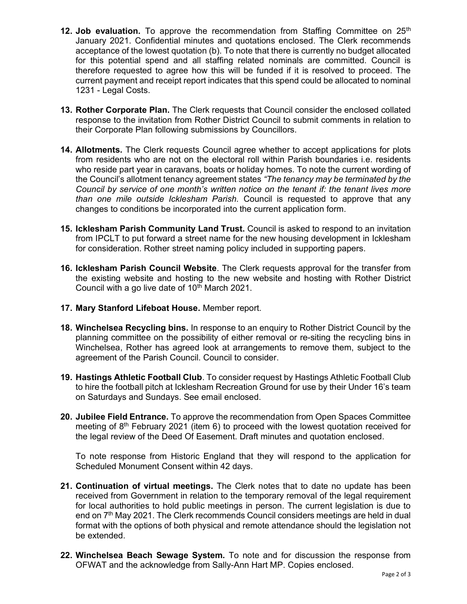- **12. Job evaluation.** To approve the recommendation from Staffing Committee on  $25<sup>th</sup>$ January 2021. Confidential minutes and quotations enclosed. The Clerk recommends acceptance of the lowest quotation (b). To note that there is currently no budget allocated for this potential spend and all staffing related nominals are committed. Council is therefore requested to agree how this will be funded if it is resolved to proceed. The current payment and receipt report indicates that this spend could be allocated to nominal 1231 - Legal Costs.
- 13. Rother Corporate Plan. The Clerk requests that Council consider the enclosed collated response to the invitation from Rother District Council to submit comments in relation to their Corporate Plan following submissions by Councillors.
- 14. Allotments. The Clerk requests Council agree whether to accept applications for plots from residents who are not on the electoral roll within Parish boundaries i.e. residents who reside part year in caravans, boats or holiday homes. To note the current wording of the Council's allotment tenancy agreement states "The tenancy may be terminated by the Council by service of one month's written notice on the tenant if: the tenant lives more than one mile outside Icklesham Parish. Council is requested to approve that any changes to conditions be incorporated into the current application form.
- 15. Icklesham Parish Community Land Trust. Council is asked to respond to an invitation from IPCLT to put forward a street name for the new housing development in Icklesham for consideration. Rother street naming policy included in supporting papers.
- 16. Icklesham Parish Council Website. The Clerk requests approval for the transfer from the existing website and hosting to the new website and hosting with Rother District Council with a go live date of 10<sup>th</sup> March 2021.
- 17. Mary Stanford Lifeboat House. Member report.
- 18. Winchelsea Recycling bins. In response to an enquiry to Rother District Council by the planning committee on the possibility of either removal or re-siting the recycling bins in Winchelsea, Rother has agreed look at arrangements to remove them, subject to the agreement of the Parish Council. Council to consider.
- 19. Hastings Athletic Football Club. To consider request by Hastings Athletic Football Club to hire the football pitch at Icklesham Recreation Ground for use by their Under 16's team on Saturdays and Sundays. See email enclosed.
- 20. Jubilee Field Entrance. To approve the recommendation from Open Spaces Committee meeting of 8th February 2021 (item 6) to proceed with the lowest quotation received for the legal review of the Deed Of Easement. Draft minutes and quotation enclosed.

To note response from Historic England that they will respond to the application for Scheduled Monument Consent within 42 days.

- 21. Continuation of virtual meetings. The Clerk notes that to date no update has been received from Government in relation to the temporary removal of the legal requirement for local authorities to hold public meetings in person. The current legislation is due to end on 7<sup>th</sup> May 2021. The Clerk recommends Council considers meetings are held in dual format with the options of both physical and remote attendance should the legislation not be extended.
- 22. Winchelsea Beach Sewage System. To note and for discussion the response from OFWAT and the acknowledge from Sally-Ann Hart MP. Copies enclosed.